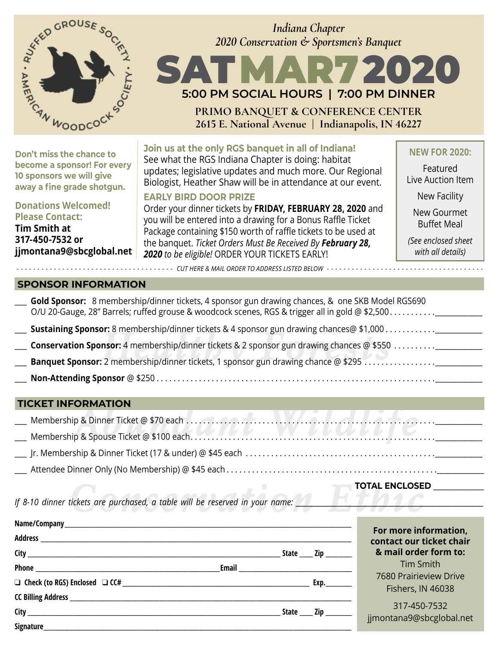



**PRIMO BANQUET & CONFERENCE CENTER 2615 E. National Avenue | Indianapolis, IN 46227**

**Don't miss the chance to become a sponsor! For every 10 sponsors we will give away a fine grade shotgun.**

**Donations Welcomed! Please Contact:**

**Tim Smith at 317-450-7532 or jjmontana9@sbcglobal.net** **Join us at the only RGS banquet in all of Indiana!** See what the RGS Indiana Chapter is doing: habitat updates; legislative updates and much more. Our Regional Biologist, Heather Shaw will be in attendance at our event.

#### **EARLY BIRD DOOR PRIZE**

Order your dinner tickets by **FRIDAY, FEBRUARY 28, 2020** and you will be entered into a drawing for a Bonus Raffle Ticket Package containing \$150 worth of raffle tickets to be used at the banquet. *Ticket Orders Must Be Received By February 28, 2020 to be eligible!* ORDER YOUR TICKETS EARLY!

**NEW FOR 2020:**

Featured Live Auction Item

New Facility

New Gourmet Buffet Meal

*(See enclosed sheet with all details)*

#### **SPONSOR INFORMATION**

|                                                                                                  | Gold Sponsor: 8 membership/dinner tickets, 4 sponsor gun drawing chances, & one SKB Model RGS690<br>O/U 20-Gauge, 28" Barrels; ruffed grouse & woodcock scenes, RGS & trigger all in gold @ \$2,500 |  |  |  |
|--------------------------------------------------------------------------------------------------|-----------------------------------------------------------------------------------------------------------------------------------------------------------------------------------------------------|--|--|--|
|                                                                                                  |                                                                                                                                                                                                     |  |  |  |
| <b>Conservation Sponsor:</b> 4 membership/dinner tickets & 2 sponsor gun drawing chances @ \$550 |                                                                                                                                                                                                     |  |  |  |
|                                                                                                  |                                                                                                                                                                                                     |  |  |  |
|                                                                                                  |                                                                                                                                                                                                     |  |  |  |

*- - - - - - - - - - - - - - - - - - - - - - - - - - - - - - - - - - - - - - CUT HERE & MAIL ORDER TO ADDRESS LISTED BELOW - - - - - - - - - - - - - - - - - - - - - - - - - - - - - - - - - - - - - -*

#### **TICKET INFORMATION**

**TOTAL ENCLOSED** \_\_\_\_\_\_\_\_\_\_\_\_\_\_

*If 8-10 dinner tickets are purchased, a table will be reserved in your name:* 

|  | For more information, |                                                                                                                                                                                                                                                                                                                                             |                          |
|--|-----------------------|---------------------------------------------------------------------------------------------------------------------------------------------------------------------------------------------------------------------------------------------------------------------------------------------------------------------------------------------|--------------------------|
|  |                       |                                                                                                                                                                                                                                                                                                                                             | contact our ticket chair |
|  |                       | State $\_\_$ Zip $\_\_$                                                                                                                                                                                                                                                                                                                     | & mail order form to:    |
|  |                       | Email 2008 2009 2010 2021 2022 2023 2024 2022 2022 2023 2024 2022 2023 2024 2022 2023 2024 2022 2023                                                                                                                                                                                                                                        | Tim Smith                |
|  |                       |                                                                                                                                                                                                                                                                                                                                             | 7680 Prairieview Drive   |
|  |                       |                                                                                                                                                                                                                                                                                                                                             | Fishers, IN 46038        |
|  |                       | $State$ $\qquad$ $\qquad$ $\qquad$ $\qquad$ $\qquad$ $\qquad$ $\qquad$ $\qquad$ $\qquad$ $\qquad$ $\qquad$ $\qquad$ $\qquad$ $\qquad$ $\qquad$ $\qquad$ $\qquad$ $\qquad$ $\qquad$ $\qquad$ $\qquad$ $\qquad$ $\qquad$ $\qquad$ $\qquad$ $\qquad$ $\qquad$ $\qquad$ $\qquad$ $\qquad$ $\qquad$ $\qquad$ $\qquad$ $\qquad$ $\qquad$ $\qquad$ | 317-450-7532             |
|  |                       |                                                                                                                                                                                                                                                                                                                                             | jjmontana9@sbcglobal.net |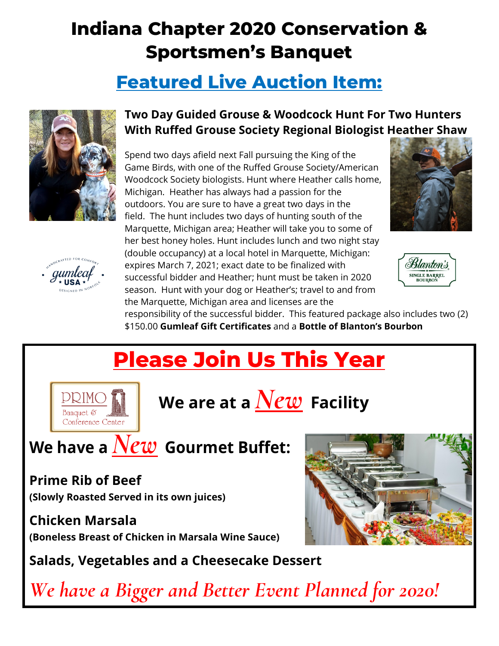# **Indiana Chapter 2020 Conservation & Sportsmen's Banquet**

## **Featured Live Auction Item:**





### **Two Day Guided Grouse & Woodcock Hunt For Two Hunters With Ruffed Grouse Society Regional Biologist Heather Shaw**

Spend two days afield next Fall pursuing the King of the Game Birds, with one of the Ruffed Grouse Society/American Woodcock Society biologists. Hunt where Heather calls home, Michigan. Heather has always had a passion for the outdoors. You are sure to have a great two days in the field. The hunt includes two days of hunting south of the Marquette, Michigan area; Heather will take you to some of her best honey holes. Hunt includes lunch and two night stay (double occupancy) at a local hotel in Marquette, Michigan: expires March 7, 2021; exact date to be finalized with successful bidder and Heather; hunt must be taken in 2020 season. Hunt with your dog or Heather's; travel to and from the Marquette, Michigan area and licenses are the





responsibility of the successful bidder. This featured package also includes two (2) \$150.00 **Gumleaf Gift Certificates** and a **Bottle of Blanton's Bourbon**

# **Please Join Us This Year**



**We are at a** *New* **Facility**

# **We have a***New* **Gourmet Buffet:**

## **Prime Rib of Beef**

**(Slowly Roasted Served in its own juices)**

## **Chicken Marsala**

**(Boneless Breast of Chicken in Marsala Wine Sauce)**

**Salads, Vegetables and a Cheesecake Dessert**

*We have a Bigger and Better Event Planned for 2020!*